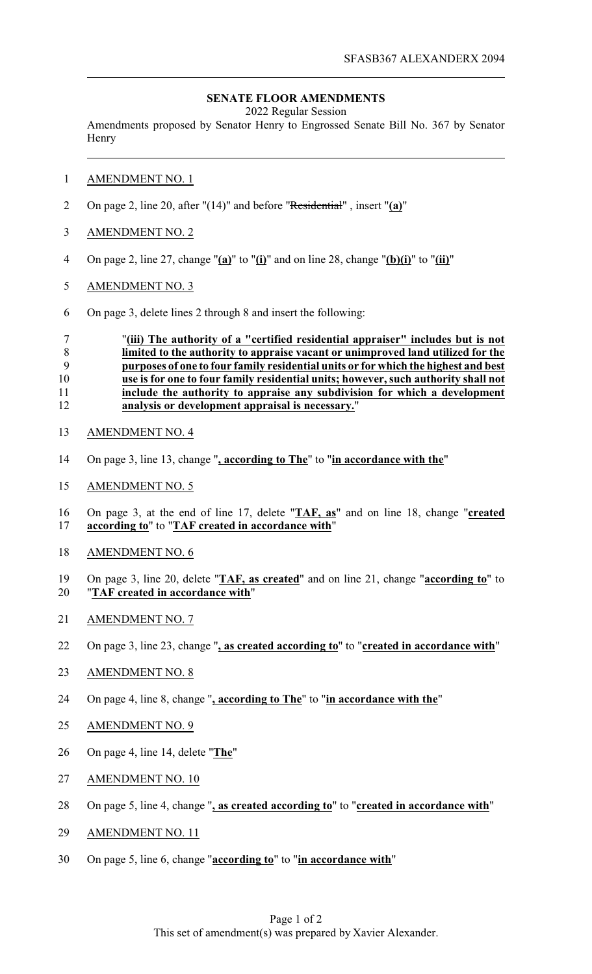## **SENATE FLOOR AMENDMENTS**

2022 Regular Session

Amendments proposed by Senator Henry to Engrossed Senate Bill No. 367 by Senator **Henry** 

## AMENDMENT NO. 1

- On page 2, line 20, after "(14)" and before "Residential" , insert "**(a)**"
- AMENDMENT NO. 2
- On page 2, line 27, change "**(a)**" to "**(i)**" and on line 28, change "**(b)(i)**" to "**(ii)**"
- AMENDMENT NO. 3
- On page 3, delete lines 2 through 8 and insert the following:

 "**(iii) The authority of a "certified residential appraiser" includes but is not limited to the authority to appraise vacant or unimproved land utilized for the purposes of one to four family residential units or for which the highest and best use is for one to four family residential units; however, such authority shall not include the authority to appraise any subdivision for which a development analysis or development appraisal is necessary.**"

- AMENDMENT NO. 4
- On page 3, line 13, change "**, according to The**" to "**in accordance with the**"
- AMENDMENT NO. 5
- On page 3, at the end of line 17, delete "**TAF, as**" and on line 18, change "**created according to**" to "**TAF created in accordance with**"
- AMENDMENT NO. 6
- On page 3, line 20, delete "**TAF, as created**" and on line 21, change "**according to**" to "**TAF created in accordance with**"
- AMENDMENT NO. 7
- On page 3, line 23, change "**, as created according to**" to "**created in accordance with**"
- AMENDMENT NO. 8
- On page 4, line 8, change "**, according to The**" to "**in accordance with the**"
- AMENDMENT NO. 9
- On page 4, line 14, delete "**The**"
- AMENDMENT NO. 10
- On page 5, line 4, change "**, as created according to**" to "**created in accordance with**"
- AMENDMENT NO. 11
- On page 5, line 6, change "**according to**" to "**in accordance with**"